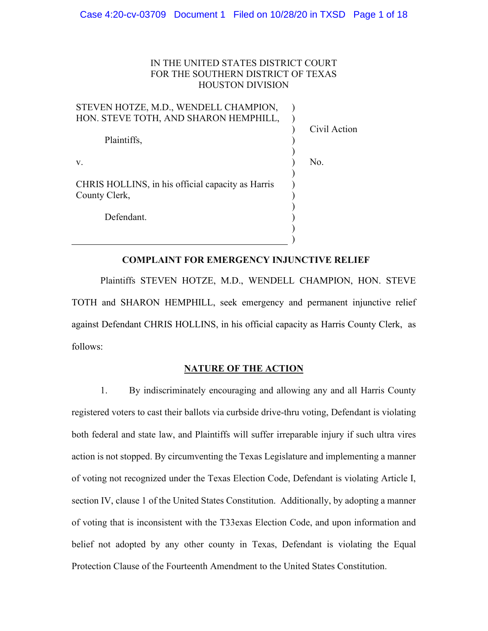## IN THE UNITED STATES DISTRICT COURT FOR THE SOUTHERN DISTRICT OF TEXAS HOUSTON DIVISION

| STEVEN HOTZE, M.D., WENDELL CHAMPION,             |              |
|---------------------------------------------------|--------------|
| HON. STEVE TOTH, AND SHARON HEMPHILL,             |              |
|                                                   | Civil Action |
| Plaintiffs,                                       |              |
|                                                   |              |
| V.                                                | No.          |
|                                                   |              |
| CHRIS HOLLINS, in his official capacity as Harris |              |
| County Clerk,                                     |              |
|                                                   |              |
| Defendant.                                        |              |
|                                                   |              |

# **COMPLAINT FOR EMERGENCY INJUNCTIVE RELIEF**

)

Plaintiffs STEVEN HOTZE, M.D., WENDELL CHAMPION, HON. STEVE TOTH and SHARON HEMPHILL, seek emergency and permanent injunctive relief against Defendant CHRIS HOLLINS, in his official capacity as Harris County Clerk, as follows:

#### **NATURE OF THE ACTION**

1. By indiscriminately encouraging and allowing any and all Harris County registered voters to cast their ballots via curbside drive-thru voting, Defendant is violating both federal and state law, and Plaintiffs will suffer irreparable injury if such ultra vires action is not stopped. By circumventing the Texas Legislature and implementing a manner of voting not recognized under the Texas Election Code, Defendant is violating Article I, section IV, clause 1 of the United States Constitution. Additionally, by adopting a manner of voting that is inconsistent with the T33exas Election Code, and upon information and belief not adopted by any other county in Texas, Defendant is violating the Equal Protection Clause of the Fourteenth Amendment to the United States Constitution.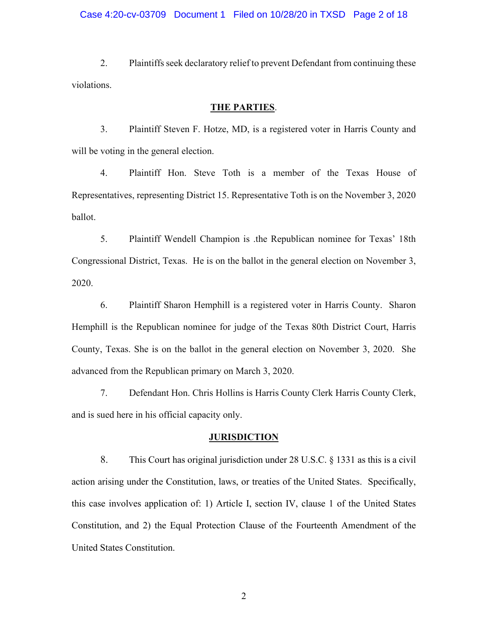2. Plaintiffs seek declaratory relief to prevent Defendant from continuing these violations.

### **THE PARTIES**.

3. Plaintiff Steven F. Hotze, MD, is a registered voter in Harris County and will be voting in the general election.

4. Plaintiff Hon. Steve Toth is a member of the Texas House of Representatives, representing District 15. Representative Toth is on the November 3, 2020 ballot.

5. Plaintiff Wendell Champion is .the Republican nominee for Texas' 18th Congressional District, Texas. He is on the ballot in the general election on November 3, 2020.

6. Plaintiff Sharon Hemphill is a registered voter in Harris County. Sharon Hemphill is the Republican nominee for judge of the Texas 80th District Court, Harris County, Texas. She is on the ballot in the general election on November 3, 2020. She advanced from the Republican primary on March 3, 2020.

7. Defendant Hon. Chris Hollins is Harris County Clerk Harris County Clerk, and is sued here in his official capacity only.

#### **JURISDICTION**

8. This Court has original jurisdiction under 28 U.S.C. § 1331 as this is a civil action arising under the Constitution, laws, or treaties of the United States. Specifically, this case involves application of: 1) Article I, section IV, clause 1 of the United States Constitution, and 2) the Equal Protection Clause of the Fourteenth Amendment of the United States Constitution.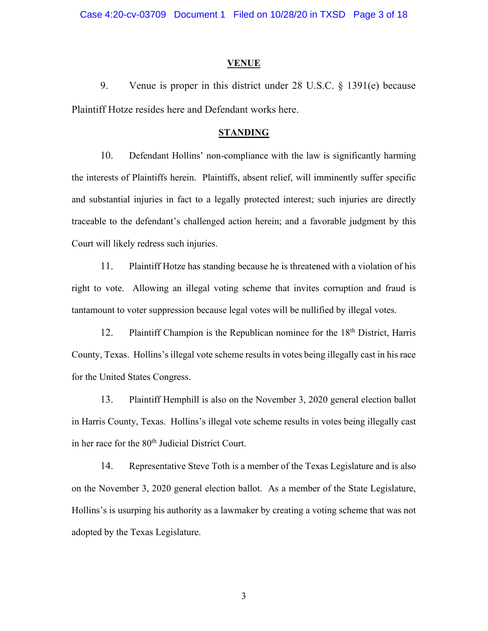#### **VENUE**

9. Venue is proper in this district under 28 U.S.C. § 1391(e) because Plaintiff Hotze resides here and Defendant works here.

### **STANDING**

10. Defendant Hollins' non-compliance with the law is significantly harming the interests of Plaintiffs herein. Plaintiffs, absent relief, will imminently suffer specific and substantial injuries in fact to a legally protected interest; such injuries are directly traceable to the defendant's challenged action herein; and a favorable judgment by this Court will likely redress such injuries.

11. Plaintiff Hotze has standing because he is threatened with a violation of his right to vote. Allowing an illegal voting scheme that invites corruption and fraud is tantamount to voter suppression because legal votes will be nullified by illegal votes.

12. Plaintiff Champion is the Republican nominee for the 18<sup>th</sup> District, Harris County, Texas. Hollins's illegal vote scheme results in votes being illegally cast in his race for the United States Congress.

13. Plaintiff Hemphill is also on the November 3, 2020 general election ballot in Harris County, Texas. Hollins's illegal vote scheme results in votes being illegally cast in her race for the 80<sup>th</sup> Judicial District Court.

14. Representative Steve Toth is a member of the Texas Legislature and is also on the November 3, 2020 general election ballot. As a member of the State Legislature, Hollins's is usurping his authority as a lawmaker by creating a voting scheme that was not adopted by the Texas Legislature.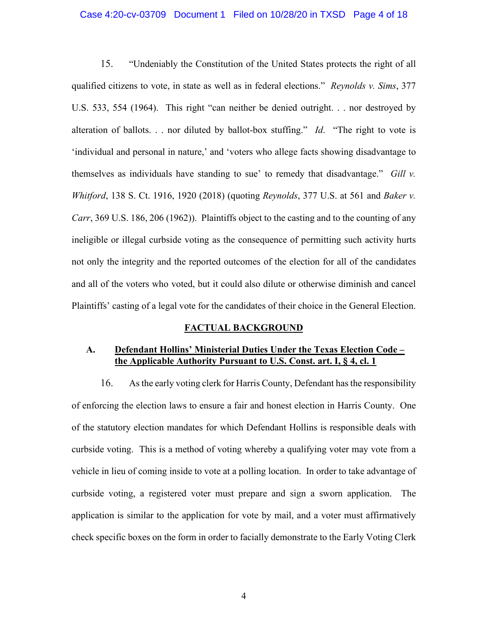#### Case 4:20-cv-03709 Document 1 Filed on 10/28/20 in TXSD Page 4 of 18

15. "Undeniably the Constitution of the United States protects the right of all qualified citizens to vote, in state as well as in federal elections." *Reynolds v. Sims*, 377 U.S. 533, 554 (1964). This right "can neither be denied outright. . . nor destroyed by alteration of ballots. . . nor diluted by ballot-box stuffing." *Id*. "The right to vote is 'individual and personal in nature,' and 'voters who allege facts showing disadvantage to themselves as individuals have standing to sue' to remedy that disadvantage." *Gill v. Whitford*, 138 S. Ct. 1916, 1920 (2018) (quoting *Reynolds*, 377 U.S. at 561 and *Baker v. Carr*, 369 U.S. 186, 206 (1962)). Plaintiffs object to the casting and to the counting of any ineligible or illegal curbside voting as the consequence of permitting such activity hurts not only the integrity and the reported outcomes of the election for all of the candidates and all of the voters who voted, but it could also dilute or otherwise diminish and cancel Plaintiffs' casting of a legal vote for the candidates of their choice in the General Election.

## **FACTUAL BACKGROUND**

## **A. Defendant Hollins' Ministerial Duties Under the Texas Election Code – the Applicable Authority Pursuant to U.S. Const. art. I, § 4, cl. 1**

16. As the early voting clerk for Harris County, Defendant has the responsibility of enforcing the election laws to ensure a fair and honest election in Harris County. One of the statutory election mandates for which Defendant Hollins is responsible deals with curbside voting. This is a method of voting whereby a qualifying voter may vote from a vehicle in lieu of coming inside to vote at a polling location. In order to take advantage of curbside voting, a registered voter must prepare and sign a sworn application. The application is similar to the application for vote by mail, and a voter must affirmatively check specific boxes on the form in order to facially demonstrate to the Early Voting Clerk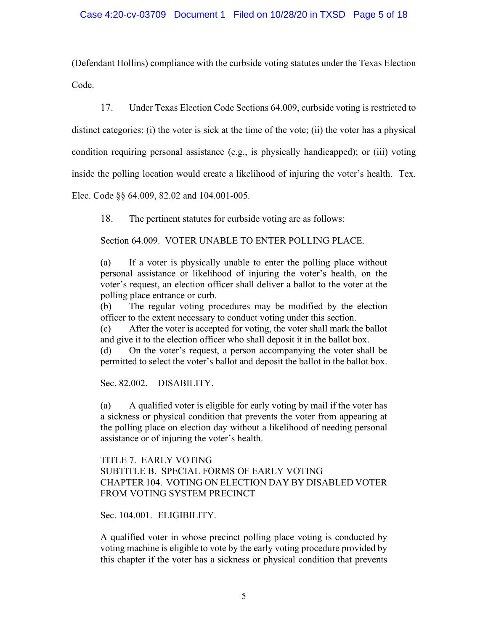(Defendant Hollins) compliance with the curbside voting statutes under the Texas Election Code.

17. Under Texas Election Code Sections 64.009, curbside voting is restricted to distinct categories: (i) the voter is sick at the time of the vote; (ii) the voter has a physical condition requiring personal assistance (e.g., is physically handicapped); or (iii) voting inside the polling location would create a likelihood of injuring the voter's health. Tex.

Elec. Code §§ 64.009, 82.02 and 104.001-005.

18. The pertinent statutes for curbside voting are as follows:

Section 64.009. VOTER UNABLE TO ENTER POLLING PLACE.

(a) If a voter is physically unable to enter the polling place without personal assistance or likelihood of injuring the voter's health, on the voter's request, an election officer shall deliver a ballot to the voter at the polling place entrance or curb.

(b) The regular voting procedures may be modified by the election officer to the extent necessary to conduct voting under this section.

(c) After the voter is accepted for voting, the voter shall mark the ballot and give it to the election officer who shall deposit it in the ballot box.

(d) On the voter's request, a person accompanying the voter shall be permitted to select the voter's ballot and deposit the ballot in the ballot box.

Sec. 82.002. DISABILITY.

(a) A qualified voter is eligible for early voting by mail if the voter has a sickness or physical condition that prevents the voter from appearing at the polling place on election day without a likelihood of needing personal assistance or of injuring the voter's health.

TITLE 7. EARLY VOTING SUBTITLE B. SPECIAL FORMS OF EARLY VOTING CHAPTER 104. VOTING ON ELECTION DAY BY DISABLED VOTER FROM VOTING SYSTEM PRECINCT

Sec. 104.001. ELIGIBILITY.

A qualified voter in whose precinct polling place voting is conducted by voting machine is eligible to vote by the early voting procedure provided by this chapter if the voter has a sickness or physical condition that prevents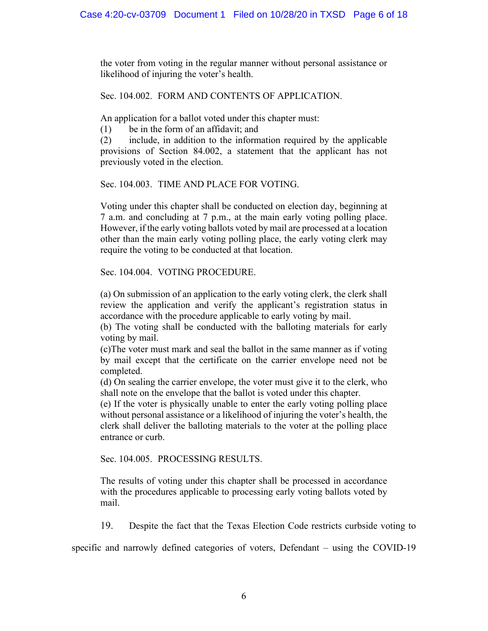the voter from voting in the regular manner without personal assistance or likelihood of injuring the voter's health.

Sec. 104.002. FORM AND CONTENTS OF APPLICATION.

An application for a ballot voted under this chapter must:

(1) be in the form of an affidavit; and

(2) include, in addition to the information required by the applicable provisions of Section 84.002, a statement that the applicant has not previously voted in the election.

Sec. 104.003. TIME AND PLACE FOR VOTING.

Voting under this chapter shall be conducted on election day, beginning at 7 a.m. and concluding at 7 p.m., at the main early voting polling place. However, if the early voting ballots voted by mail are processed at a location other than the main early voting polling place, the early voting clerk may require the voting to be conducted at that location.

Sec. 104.004. VOTING PROCEDURE.

(a) On submission of an application to the early voting clerk, the clerk shall review the application and verify the applicant's registration status in accordance with the procedure applicable to early voting by mail.

(b) The voting shall be conducted with the balloting materials for early voting by mail.

(c)The voter must mark and seal the ballot in the same manner as if voting by mail except that the certificate on the carrier envelope need not be completed.

(d) On sealing the carrier envelope, the voter must give it to the clerk, who shall note on the envelope that the ballot is voted under this chapter.

(e) If the voter is physically unable to enter the early voting polling place without personal assistance or a likelihood of injuring the voter's health, the clerk shall deliver the balloting materials to the voter at the polling place entrance or curb.

Sec. 104.005. PROCESSING RESULTS.

The results of voting under this chapter shall be processed in accordance with the procedures applicable to processing early voting ballots voted by mail.

19. Despite the fact that the Texas Election Code restricts curbside voting to

specific and narrowly defined categories of voters, Defendant – using the COVID-19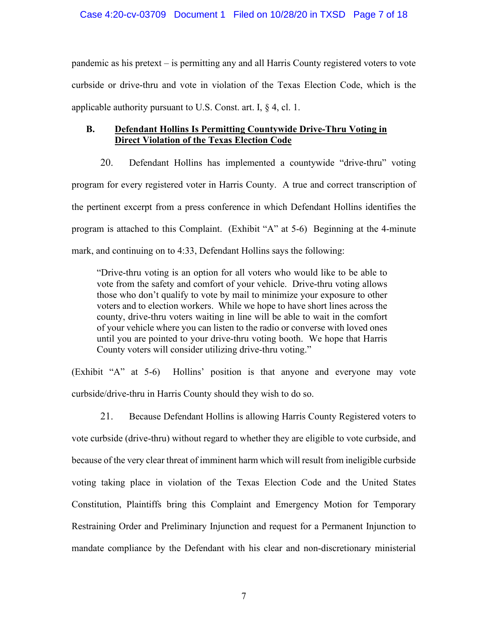pandemic as his pretext – is permitting any and all Harris County registered voters to vote curbside or drive-thru and vote in violation of the Texas Election Code, which is the applicable authority pursuant to U.S. Const. art. I,  $\S$  4, cl. 1.

# **B. Defendant Hollins Is Permitting Countywide Drive-Thru Voting in Direct Violation of the Texas Election Code**

20. Defendant Hollins has implemented a countywide "drive-thru" voting program for every registered voter in Harris County. A true and correct transcription of the pertinent excerpt from a press conference in which Defendant Hollins identifies the program is attached to this Complaint. (Exhibit "A" at 5-6) Beginning at the 4-minute mark, and continuing on to 4:33, Defendant Hollins says the following:

"Drive-thru voting is an option for all voters who would like to be able to vote from the safety and comfort of your vehicle. Drive-thru voting allows those who don't qualify to vote by mail to minimize your exposure to other voters and to election workers. While we hope to have short lines across the county, drive-thru voters waiting in line will be able to wait in the comfort of your vehicle where you can listen to the radio or converse with loved ones until you are pointed to your drive-thru voting booth. We hope that Harris County voters will consider utilizing drive-thru voting."

(Exhibit "A" at 5-6) Hollins' position is that anyone and everyone may vote curbside/drive-thru in Harris County should they wish to do so.

21. Because Defendant Hollins is allowing Harris County Registered voters to vote curbside (drive-thru) without regard to whether they are eligible to vote curbside, and because of the very clear threat of imminent harm which will result from ineligible curbside voting taking place in violation of the Texas Election Code and the United States Constitution, Plaintiffs bring this Complaint and Emergency Motion for Temporary Restraining Order and Preliminary Injunction and request for a Permanent Injunction to mandate compliance by the Defendant with his clear and non-discretionary ministerial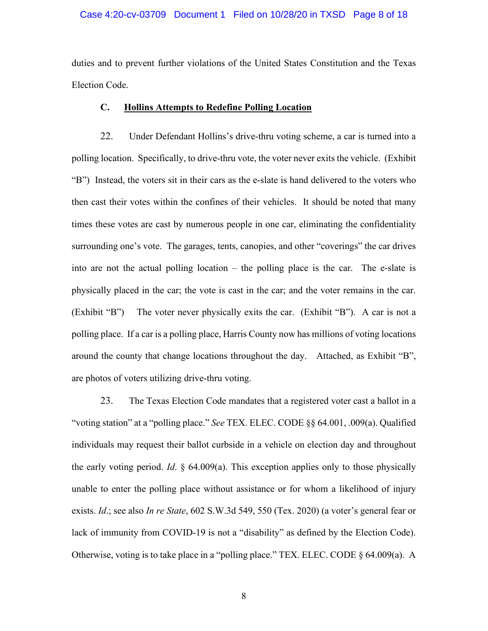#### Case 4:20-cv-03709 Document 1 Filed on 10/28/20 in TXSD Page 8 of 18

duties and to prevent further violations of the United States Constitution and the Texas Election Code.

## **C. Hollins Attempts to Redefine Polling Location**

22. Under Defendant Hollins's drive-thru voting scheme, a car is turned into a polling location. Specifically, to drive-thru vote, the voter never exits the vehicle. (Exhibit "B") Instead, the voters sit in their cars as the e-slate is hand delivered to the voters who then cast their votes within the confines of their vehicles. It should be noted that many times these votes are cast by numerous people in one car, eliminating the confidentiality surrounding one's vote. The garages, tents, canopies, and other "coverings" the car drives into are not the actual polling location – the polling place is the car. The e-slate is physically placed in the car; the vote is cast in the car; and the voter remains in the car. (Exhibit "B") The voter never physically exits the car. (Exhibit "B"). A car is not a polling place. If a car is a polling place, Harris County now has millions of voting locations around the county that change locations throughout the day. Attached, as Exhibit "B", are photos of voters utilizing drive-thru voting.

23. The Texas Election Code mandates that a registered voter cast a ballot in a "voting station" at a "polling place." *See* TEX. ELEC. CODE §§ 64.001, .009(a). Qualified individuals may request their ballot curbside in a vehicle on election day and throughout the early voting period. *Id*. § 64.009(a). This exception applies only to those physically unable to enter the polling place without assistance or for whom a likelihood of injury exists. *Id*.; see also *In re State*, 602 S.W.3d 549, 550 (Tex. 2020) (a voter's general fear or lack of immunity from COVID-19 is not a "disability" as defined by the Election Code). Otherwise, voting is to take place in a "polling place." TEX. ELEC. CODE § 64.009(a). A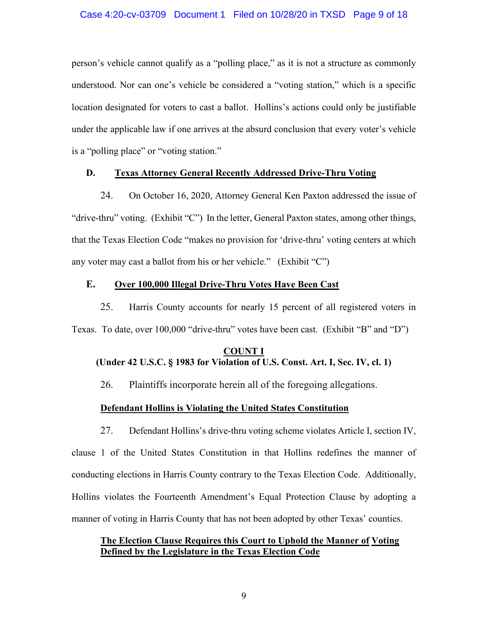person's vehicle cannot qualify as a "polling place," as it is not a structure as commonly understood. Nor can one's vehicle be considered a "voting station," which is a specific location designated for voters to cast a ballot. Hollins's actions could only be justifiable under the applicable law if one arrives at the absurd conclusion that every voter's vehicle is a "polling place" or "voting station."

### **D. Texas Attorney General Recently Addressed Drive-Thru Voting**

24. On October 16, 2020, Attorney General Ken Paxton addressed the issue of "drive-thru" voting. (Exhibit "C") In the letter, General Paxton states, among other things, that the Texas Election Code "makes no provision for 'drive-thru' voting centers at which any voter may cast a ballot from his or her vehicle." (Exhibit "C")

### **E. Over 100,000 Illegal Drive-Thru Votes Have Been Cast**

25. Harris County accounts for nearly 15 percent of all registered voters in Texas. To date, over 100,000 "drive-thru" votes have been cast. (Exhibit "B" and "D")

# **COUNT I (Under 42 U.S.C. § 1983 for Violation of U.S. Const. Art. I, Sec. IV, cl. 1)**

26. Plaintiffs incorporate herein all of the foregoing allegations.

## **Defendant Hollins is Violating the United States Constitution**

27. Defendant Hollins's drive-thru voting scheme violates Article I, section IV, clause 1 of the United States Constitution in that Hollins redefines the manner of conducting elections in Harris County contrary to the Texas Election Code. Additionally, Hollins violates the Fourteenth Amendment's Equal Protection Clause by adopting a manner of voting in Harris County that has not been adopted by other Texas' counties.

## **The Election Clause Requires this Court to Uphold the Manner of Voting Defined by the Legislature in the Texas Election Code**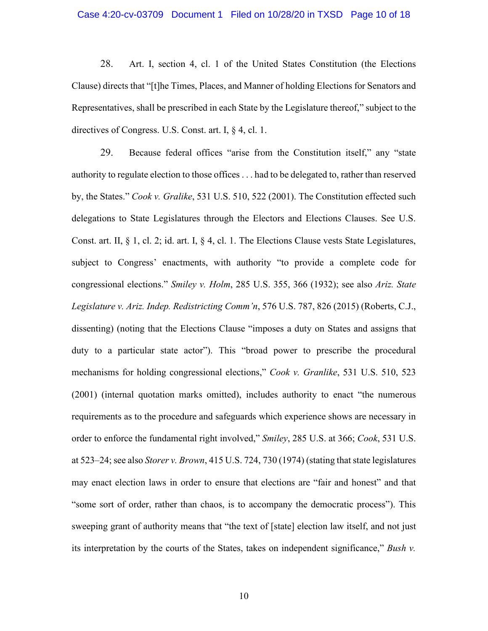#### Case 4:20-cv-03709 Document 1 Filed on 10/28/20 in TXSD Page 10 of 18

28. Art. I, section 4, cl. 1 of the United States Constitution (the Elections Clause) directs that "[t]he Times, Places, and Manner of holding Elections for Senators and Representatives, shall be prescribed in each State by the Legislature thereof," subject to the directives of Congress. U.S. Const. art. I, § 4, cl. 1.

29. Because federal offices "arise from the Constitution itself," any "state authority to regulate election to those offices . . . had to be delegated to, rather than reserved by, the States." *Cook v. Gralike*, 531 U.S. 510, 522 (2001). The Constitution effected such delegations to State Legislatures through the Electors and Elections Clauses. See U.S. Const. art. II, § 1, cl. 2; id. art. I, § 4, cl. 1. The Elections Clause vests State Legislatures, subject to Congress' enactments, with authority "to provide a complete code for congressional elections." *Smiley v. Holm*, 285 U.S. 355, 366 (1932); see also *Ariz. State Legislature v. Ariz. Indep. Redistricting Comm'n*, 576 U.S. 787, 826 (2015) (Roberts, C.J., dissenting) (noting that the Elections Clause "imposes a duty on States and assigns that duty to a particular state actor"). This "broad power to prescribe the procedural mechanisms for holding congressional elections," *Cook v. Granlike*, 531 U.S. 510, 523 (2001) (internal quotation marks omitted), includes authority to enact "the numerous requirements as to the procedure and safeguards which experience shows are necessary in order to enforce the fundamental right involved," *Smiley*, 285 U.S. at 366; *Cook*, 531 U.S. at 523–24; see also *Storer v. Brown*, 415 U.S. 724, 730 (1974) (stating that state legislatures may enact election laws in order to ensure that elections are "fair and honest" and that "some sort of order, rather than chaos, is to accompany the democratic process"). This sweeping grant of authority means that "the text of [state] election law itself, and not just its interpretation by the courts of the States, takes on independent significance," *Bush v.*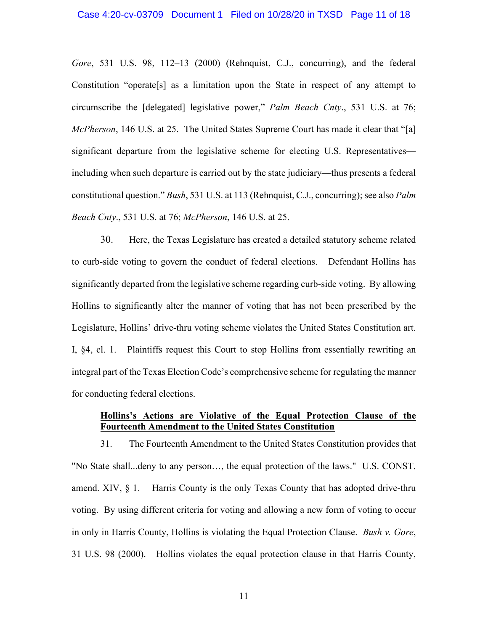*Gore*, 531 U.S. 98, 112–13 (2000) (Rehnquist, C.J., concurring), and the federal Constitution "operate[s] as a limitation upon the State in respect of any attempt to circumscribe the [delegated] legislative power," *Palm Beach Cnty*., 531 U.S. at 76; *McPherson*, 146 U.S. at 25. The United States Supreme Court has made it clear that "[a] significant departure from the legislative scheme for electing U.S. Representatives including when such departure is carried out by the state judiciary—thus presents a federal constitutional question." *Bush*, 531 U.S. at 113 (Rehnquist, C.J., concurring); see also *Palm Beach Cnty*., 531 U.S. at 76; *McPherson*, 146 U.S. at 25.

30. Here, the Texas Legislature has created a detailed statutory scheme related to curb-side voting to govern the conduct of federal elections. Defendant Hollins has significantly departed from the legislative scheme regarding curb-side voting. By allowing Hollins to significantly alter the manner of voting that has not been prescribed by the Legislature, Hollins' drive-thru voting scheme violates the United States Constitution art. I, §4, cl. 1. Plaintiffs request this Court to stop Hollins from essentially rewriting an integral part of the Texas Election Code's comprehensive scheme for regulating the manner for conducting federal elections.

## **Hollins's Actions are Violative of the Equal Protection Clause of the Fourteenth Amendment to the United States Constitution**

31. The Fourteenth Amendment to the United States Constitution provides that "No State shall...deny to any person…, the equal protection of the laws." U.S. CONST. amend. XIV,  $\S$  1. Harris County is the only Texas County that has adopted drive-thru voting. By using different criteria for voting and allowing a new form of voting to occur in only in Harris County, Hollins is violating the Equal Protection Clause. *Bush v. Gore*, 31 U.S. 98 (2000). Hollins violates the equal protection clause in that Harris County,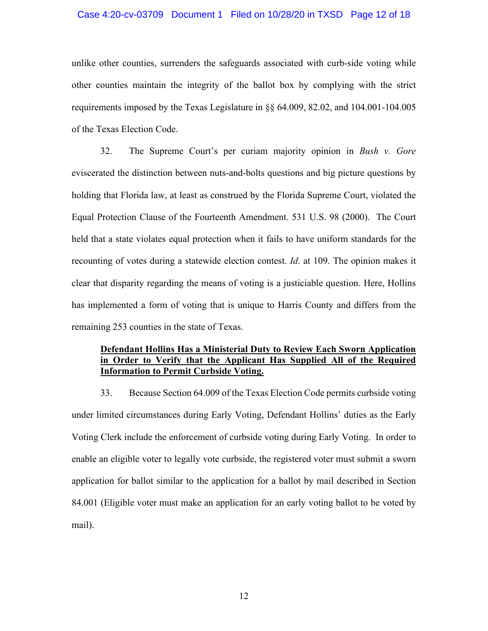#### Case 4:20-cv-03709 Document 1 Filed on 10/28/20 in TXSD Page 12 of 18

unlike other counties, surrenders the safeguards associated with curb-side voting while other counties maintain the integrity of the ballot box by complying with the strict requirements imposed by the Texas Legislature in §§ 64.009, 82.02, and 104.001-104.005 of the Texas Election Code.

32. The Supreme Court's per curiam majority opinion in *Bush v. Gore* eviscerated the distinction between nuts-and-bolts questions and big picture questions by holding that Florida law, at least as construed by the Florida Supreme Court, violated the Equal Protection Clause of the Fourteenth Amendment. 531 U.S. 98 (2000). The Court held that a state violates equal protection when it fails to have uniform standards for the recounting of votes during a statewide election contest. *Id*. at 109. The opinion makes it clear that disparity regarding the means of voting is a justiciable question. Here, Hollins has implemented a form of voting that is unique to Harris County and differs from the remaining 253 counties in the state of Texas.

## **Defendant Hollins Has a Ministerial Duty to Review Each Sworn Application in Order to Verify that the Applicant Has Supplied All of the Required Information to Permit Curbside Voting.**

33. Because Section 64.009 of the Texas Election Code permits curbside voting under limited circumstances during Early Voting, Defendant Hollins' duties as the Early Voting Clerk include the enforcement of curbside voting during Early Voting. In order to enable an eligible voter to legally vote curbside, the registered voter must submit a sworn application for ballot similar to the application for a ballot by mail described in Section 84.001 (Eligible voter must make an application for an early voting ballot to be voted by mail).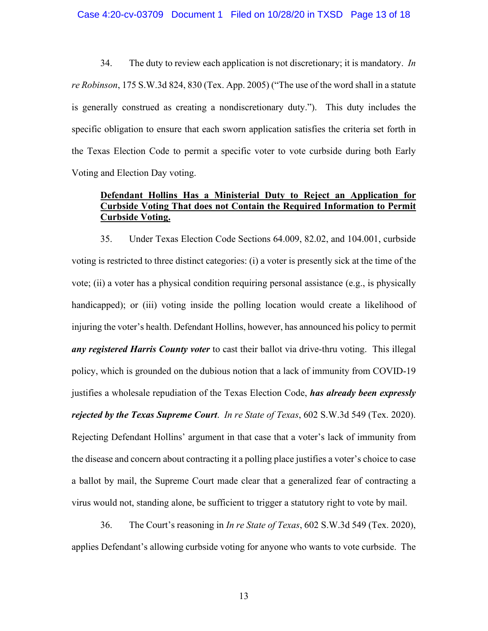#### Case 4:20-cv-03709 Document 1 Filed on 10/28/20 in TXSD Page 13 of 18

34. The duty to review each application is not discretionary; it is mandatory. *In re Robinson*, 175 S.W.3d 824, 830 (Tex. App. 2005) ("The use of the word shall in a statute is generally construed as creating a nondiscretionary duty."). This duty includes the specific obligation to ensure that each sworn application satisfies the criteria set forth in the Texas Election Code to permit a specific voter to vote curbside during both Early Voting and Election Day voting.

# **Defendant Hollins Has a Ministerial Duty to Reject an Application for Curbside Voting That does not Contain the Required Information to Permit Curbside Voting.**

35. Under Texas Election Code Sections 64.009, 82.02, and 104.001, curbside voting is restricted to three distinct categories: (i) a voter is presently sick at the time of the vote; (ii) a voter has a physical condition requiring personal assistance (e.g., is physically handicapped); or (iii) voting inside the polling location would create a likelihood of injuring the voter's health. Defendant Hollins, however, has announced his policy to permit *any registered Harris County voter* to cast their ballot via drive-thru voting. This illegal policy, which is grounded on the dubious notion that a lack of immunity from COVID-19 justifies a wholesale repudiation of the Texas Election Code, *has already been expressly rejected by the Texas Supreme Court*. *In re State of Texas*, 602 S.W.3d 549 (Tex. 2020). Rejecting Defendant Hollins' argument in that case that a voter's lack of immunity from the disease and concern about contracting it a polling place justifies a voter's choice to case a ballot by mail, the Supreme Court made clear that a generalized fear of contracting a virus would not, standing alone, be sufficient to trigger a statutory right to vote by mail.

36. The Court's reasoning in *In re State of Texas*, 602 S.W.3d 549 (Tex. 2020), applies Defendant's allowing curbside voting for anyone who wants to vote curbside. The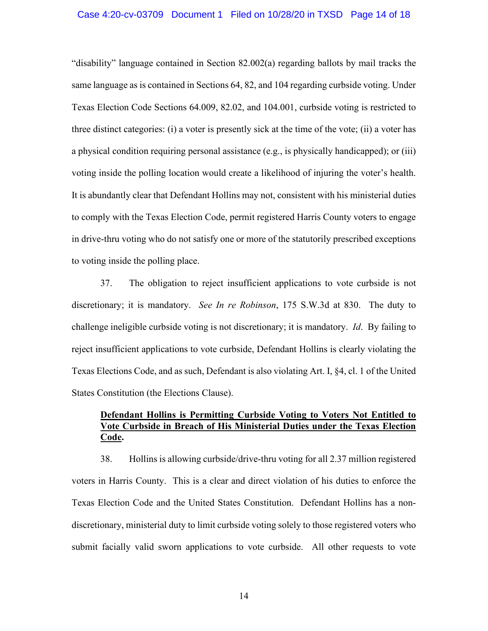"disability" language contained in Section 82.002(a) regarding ballots by mail tracks the same language as is contained in Sections 64, 82, and 104 regarding curbside voting. Under Texas Election Code Sections 64.009, 82.02, and 104.001, curbside voting is restricted to three distinct categories: (i) a voter is presently sick at the time of the vote; (ii) a voter has a physical condition requiring personal assistance (e.g., is physically handicapped); or (iii) voting inside the polling location would create a likelihood of injuring the voter's health. It is abundantly clear that Defendant Hollins may not, consistent with his ministerial duties to comply with the Texas Election Code, permit registered Harris County voters to engage in drive-thru voting who do not satisfy one or more of the statutorily prescribed exceptions to voting inside the polling place.

37. The obligation to reject insufficient applications to vote curbside is not discretionary; it is mandatory. *See In re Robinson*, 175 S.W.3d at 830. The duty to challenge ineligible curbside voting is not discretionary; it is mandatory. *Id*. By failing to reject insufficient applications to vote curbside, Defendant Hollins is clearly violating the Texas Elections Code, and as such, Defendant is also violating Art. I, §4, cl. 1 of the United States Constitution (the Elections Clause).

# **Defendant Hollins is Permitting Curbside Voting to Voters Not Entitled to Vote Curbside in Breach of His Ministerial Duties under the Texas Election Code.**

38. Hollins is allowing curbside/drive-thru voting for all 2.37 million registered voters in Harris County. This is a clear and direct violation of his duties to enforce the Texas Election Code and the United States Constitution. Defendant Hollins has a nondiscretionary, ministerial duty to limit curbside voting solely to those registered voters who submit facially valid sworn applications to vote curbside. All other requests to vote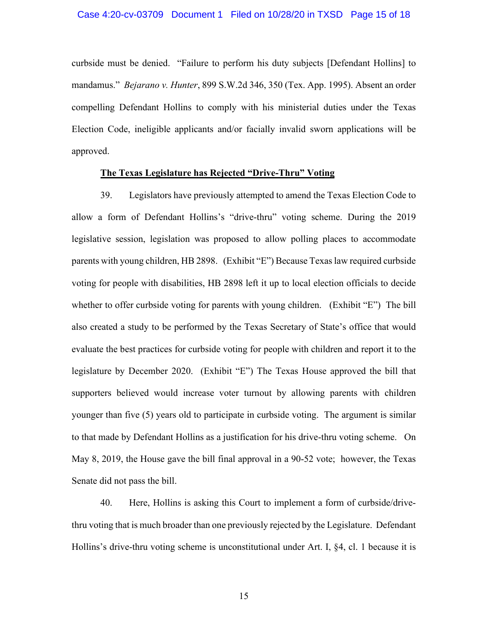curbside must be denied. "Failure to perform his duty subjects [Defendant Hollins] to mandamus." *Bejarano v. Hunter*, 899 S.W.2d 346, 350 (Tex. App. 1995). Absent an order compelling Defendant Hollins to comply with his ministerial duties under the Texas Election Code, ineligible applicants and/or facially invalid sworn applications will be approved.

#### **The Texas Legislature has Rejected "Drive-Thru" Voting**

39. Legislators have previously attempted to amend the Texas Election Code to allow a form of Defendant Hollins's "drive-thru" voting scheme. During the 2019 legislative session, legislation was proposed to allow polling places to accommodate parents with young children, HB 2898. (Exhibit "E") Because Texas law required curbside voting for people with disabilities, HB 2898 left it up to local election officials to decide whether to offer curbside voting for parents with young children. (Exhibit "E") The bill also created a study to be performed by the Texas Secretary of State's office that would evaluate the best practices for curbside voting for people with children and report it to the legislature by December 2020. (Exhibit "E") The Texas House approved the bill that supporters believed would increase voter turnout by allowing parents with children younger than five (5) years old to participate in curbside voting. The argument is similar to that made by Defendant Hollins as a justification for his drive-thru voting scheme. On May 8, 2019, the House gave the bill final approval in a 90-52 vote; however, the Texas Senate did not pass the bill.

40. Here, Hollins is asking this Court to implement a form of curbside/drivethru voting that is much broader than one previously rejected by the Legislature. Defendant Hollins's drive-thru voting scheme is unconstitutional under Art. I, §4, cl. 1 because it is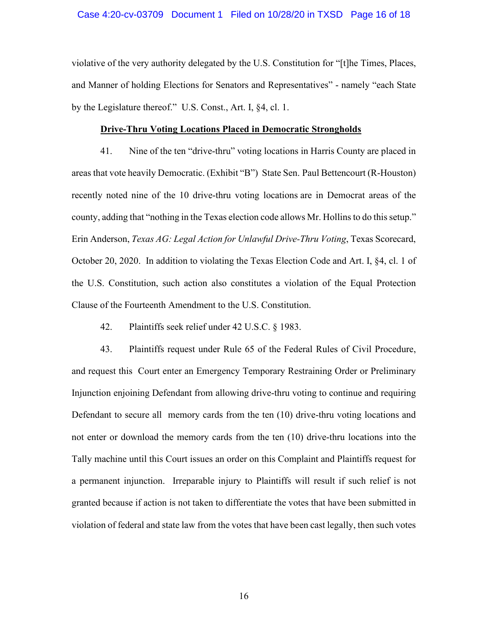#### Case 4:20-cv-03709 Document 1 Filed on 10/28/20 in TXSD Page 16 of 18

violative of the very authority delegated by the U.S. Constitution for "[t]he Times, Places, and Manner of holding Elections for Senators and Representatives" - namely "each State by the Legislature thereof." U.S. Const., Art. I, §4, cl. 1.

#### **Drive-Thru Voting Locations Placed in Democratic Strongholds**

41. Nine of the ten "drive-thru" voting locations in Harris County are placed in areas that vote heavily Democratic. (Exhibit "B") State Sen. Paul Bettencourt (R-Houston) recently noted nine of the 10 drive-thru voting locations are in Democrat areas of the county, adding that "nothing in the Texas election code allows Mr. Hollins to do this setup." Erin Anderson, *Texas AG: Legal Action for Unlawful Drive-Thru Voting*, Texas Scorecard, October 20, 2020. In addition to violating the Texas Election Code and Art. I, §4, cl. 1 of the U.S. Constitution, such action also constitutes a violation of the Equal Protection Clause of the Fourteenth Amendment to the U.S. Constitution.

42. Plaintiffs seek relief under 42 U.S.C. § 1983.

43. Plaintiffs request under Rule 65 of the Federal Rules of Civil Procedure, and request this Court enter an Emergency Temporary Restraining Order or Preliminary Injunction enjoining Defendant from allowing drive-thru voting to continue and requiring Defendant to secure all memory cards from the ten (10) drive-thru voting locations and not enter or download the memory cards from the ten (10) drive-thru locations into the Tally machine until this Court issues an order on this Complaint and Plaintiffs request for a permanent injunction. Irreparable injury to Plaintiffs will result if such relief is not granted because if action is not taken to differentiate the votes that have been submitted in violation of federal and state law from the votes that have been cast legally, then such votes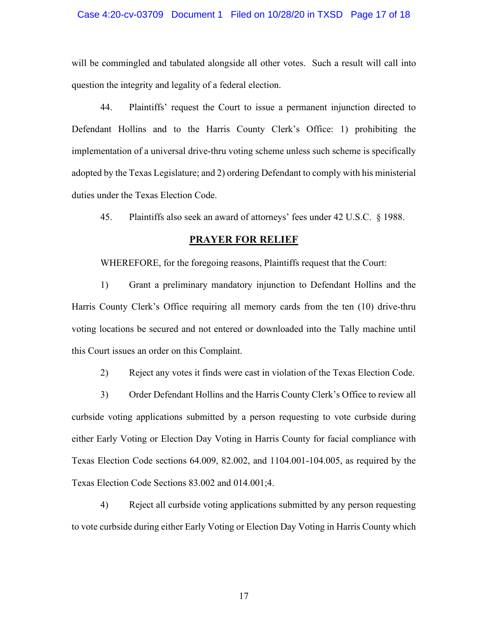### Case 4:20-cv-03709 Document 1 Filed on 10/28/20 in TXSD Page 17 of 18

will be commingled and tabulated alongside all other votes. Such a result will call into question the integrity and legality of a federal election.

44. Plaintiffs' request the Court to issue a permanent injunction directed to Defendant Hollins and to the Harris County Clerk's Office: 1) prohibiting the implementation of a universal drive-thru voting scheme unless such scheme is specifically adopted by the Texas Legislature; and 2) ordering Defendant to comply with his ministerial duties under the Texas Election Code.

45. Plaintiffs also seek an award of attorneys' fees under 42 U.S.C. § 1988.

## **PRAYER FOR RELIEF**

WHEREFORE, for the foregoing reasons, Plaintiffs request that the Court:

1) Grant a preliminary mandatory injunction to Defendant Hollins and the Harris County Clerk's Office requiring all memory cards from the ten (10) drive-thru voting locations be secured and not entered or downloaded into the Tally machine until this Court issues an order on this Complaint.

2) Reject any votes it finds were cast in violation of the Texas Election Code.

3) Order Defendant Hollins and the Harris County Clerk's Office to review all curbside voting applications submitted by a person requesting to vote curbside during either Early Voting or Election Day Voting in Harris County for facial compliance with Texas Election Code sections 64.009, 82.002, and 1104.001-104.005, as required by the Texas Election Code Sections 83.002 and 014.001;4.

4) Reject all curbside voting applications submitted by any person requesting to vote curbside during either Early Voting or Election Day Voting in Harris County which